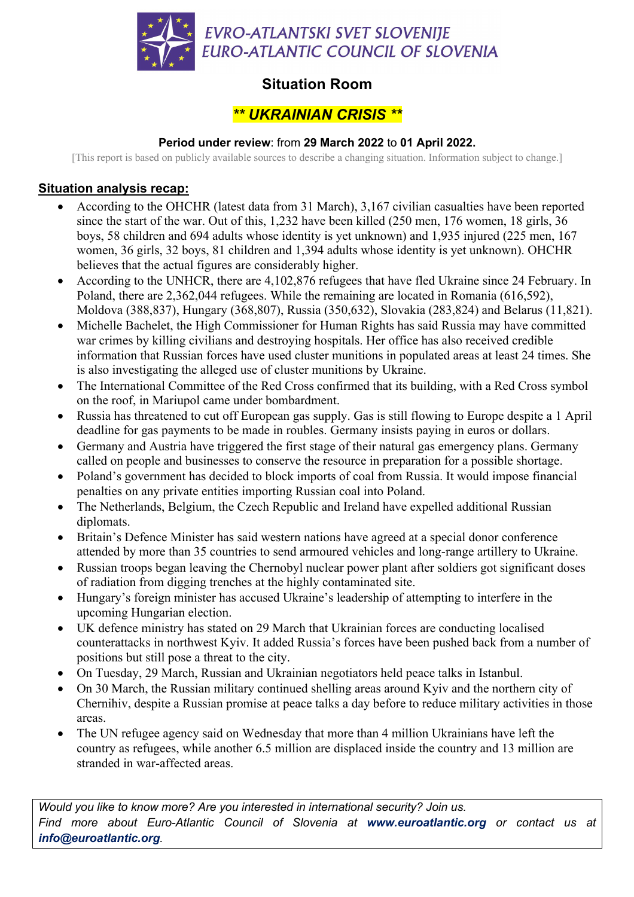

# **Situation Room**

## *\*\* UKRAINIAN CRISIS \*\**

#### **Period under review**: from **29 March 2022** to **01 April 2022.**

[This report is based on publicly available sources to describe a changing situation. Information subject to change.]

### **Situation analysis recap:**

- According to the OHCHR (latest data from 31 March), 3,167 civilian casualties have been reported since the start of the war. Out of this, 1,232 have been killed (250 men, 176 women, 18 girls, 36 boys, 58 children and 694 adults whose identity is yet unknown) and 1,935 injured (225 men, 167 women, 36 girls, 32 boys, 81 children and 1,394 adults whose identity is yet unknown). OHCHR believes that the actual figures are considerably higher.
- According to the UNHCR, there are 4,102,876 refugees that have fled Ukraine since 24 February. In Poland, there are 2,362,044 refugees. While the remaining are located in Romania (616,592), Moldova (388,837), Hungary (368,807), Russia (350,632), Slovakia (283,824) and Belarus (11,821).
- Michelle Bachelet, the High Commissioner for Human Rights has said Russia may have committed war crimes by killing civilians and destroying hospitals. Her office has also received credible information that Russian forces have used cluster munitions in populated areas at least 24 times. She is also investigating the alleged use of cluster munitions by Ukraine.
- The International Committee of the Red Cross confirmed that its building, with a Red Cross symbol on the roof, in Mariupol came under bombardment.
- Russia has threatened to cut off European gas supply. Gas is still flowing to Europe despite a 1 April deadline for gas payments to be made in roubles. Germany insists paying in euros or dollars.
- Germany and Austria have triggered the first stage of their natural gas emergency plans. Germany called on people and businesses to conserve the resource in preparation for a possible shortage.
- Poland's government has decided to block imports of coal from Russia. It would impose financial penalties on any private entities importing Russian coal into Poland.
- The Netherlands, Belgium, the Czech Republic and Ireland have expelled additional Russian diplomats.
- Britain's Defence Minister has said western nations have agreed at a special donor conference attended by more than 35 countries to send armoured vehicles and long-range artillery to Ukraine.
- Russian troops began leaving the Chernobyl nuclear power plant after soldiers got significant doses of radiation from digging trenches at the highly contaminated site.
- Hungary's foreign minister has accused Ukraine's leadership of attempting to interfere in the upcoming Hungarian election.
- UK defence ministry has stated on 29 March that Ukrainian forces are conducting localised counterattacks in northwest Kyiv. It added Russia's forces have been pushed back from a number of positions but still pose a threat to the city.
- On Tuesday, 29 March, Russian and Ukrainian negotiators held peace talks in Istanbul.
- On 30 March, the Russian military continued shelling areas around Kyiv and the northern city of Chernihiv, despite a Russian promise at peace talks a day before to reduce military activities in those areas.
- The UN refugee agency said on Wednesday that more than 4 million Ukrainians have left the country as refugees, while another 6.5 million are displaced inside the country and 13 million are stranded in war-affected areas.

*Would you like to know more? Are you interested in international security? Join us. Find more about Euro-Atlantic Council of Slovenia at www.euroatlantic.org or contact us at info@euroatlantic.org.*